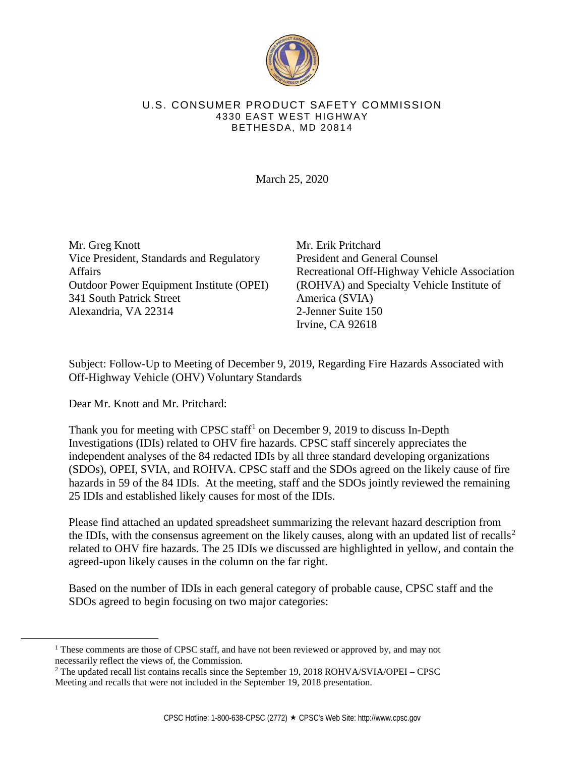

## U.S. CONSUMER PRODUCT SAFETY COMMISSION 4330 EAST WEST HIGHW AY BETHESDA, MD 20814

March 25, 2020

Mr. Greg Knott Vice President, Standards and Regulatory Affairs Outdoor Power Equipment Institute (OPEI) 341 South Patrick Street Alexandria, VA 22314

Mr. Erik Pritchard President and General Counsel Recreational Off-Highway Vehicle Association (ROHVA) and Specialty Vehicle Institute of America (SVIA) 2-Jenner Suite 150 Irvine, CA 92618

Subject: Follow-Up to Meeting of December 9, 2019, Regarding Fire Hazards Associated with Off-Highway Vehicle (OHV) Voluntary Standards

Dear Mr. Knott and Mr. Pritchard:

Thank you for meeting with CPSC staff<sup>1</sup> on December 9, 2019 to discuss In-Depth Investigations (IDIs) related to OHV fire hazards. CPSC staff sincerely appreciates the independent analyses of the 84 redacted IDIs by all three standard developing organizations (SDOs), OPEI, SVIA, and ROHVA. CPSC staff and the SDOs agreed on the likely cause of fire hazards in 59 of the 84 IDIs. At the meeting, staff and the SDOs jointly reviewed the remaining 25 IDIs and established likely causes for most of the IDIs.

Please find attached an updated spreadsheet summarizing the relevant hazard description from the IDIs, with the consensus agreement on the likely causes, along with an updated list of recalls<sup>2</sup> related to OHV fire hazards. The 25 IDIs we discussed are highlighted in yellow, and contain the agreed-upon likely causes in the column on the far right.

Based on the number of IDIs in each general category of probable cause, CPSC staff and the SDOs agreed to begin focusing on two major categories:

<sup>&</sup>lt;sup>1</sup> These comments are those of CPSC staff, and have not been reviewed or approved by, and may not necessarily reflect the views of, the Commission.

<sup>&</sup>lt;sup>2</sup> The updated recall list contains recalls since the September 19, 2018 ROHVA/SVIA/OPEI – CPSC Meeting and recalls that were not included in the September 19, 2018 presentation.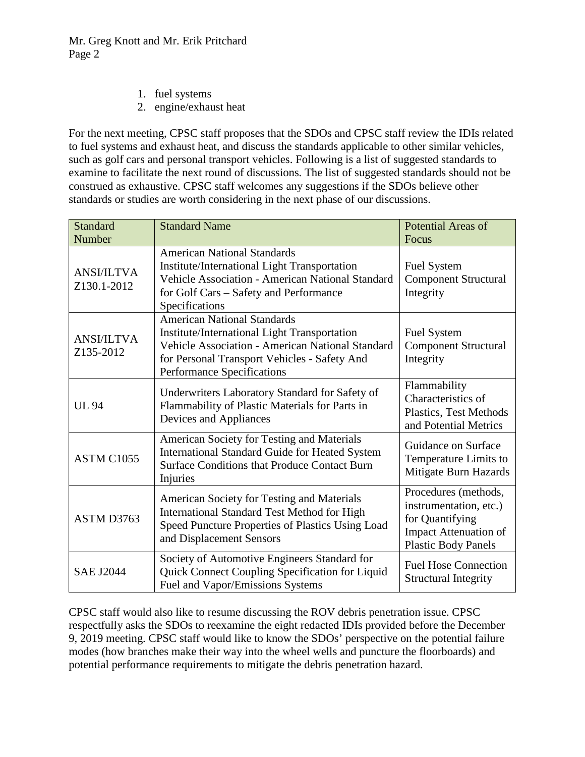- 1. fuel systems
- 2. engine/exhaust heat

For the next meeting, CPSC staff proposes that the SDOs and CPSC staff review the IDIs related to fuel systems and exhaust heat, and discuss the standards applicable to other similar vehicles, such as golf cars and personal transport vehicles. Following is a list of suggested standards to examine to facilitate the next round of discussions. The list of suggested standards should not be construed as exhaustive. CPSC staff welcomes any suggestions if the SDOs believe other standards or studies are worth considering in the next phase of our discussions.

| <b>Standard</b><br>Number        | <b>Standard Name</b>                                                                                                                                                                                                               | <b>Potential Areas of</b><br>Focus                                                                                              |
|----------------------------------|------------------------------------------------------------------------------------------------------------------------------------------------------------------------------------------------------------------------------------|---------------------------------------------------------------------------------------------------------------------------------|
| <b>ANSI/ILTVA</b><br>Z130.1-2012 | <b>American National Standards</b><br>Institute/International Light Transportation<br>Vehicle Association - American National Standard<br>for Golf Cars - Safety and Performance<br>Specifications                                 | <b>Fuel System</b><br><b>Component Structural</b><br>Integrity                                                                  |
| <b>ANSI/ILTVA</b><br>Z135-2012   | <b>American National Standards</b><br>Institute/International Light Transportation<br><b>Vehicle Association - American National Standard</b><br>for Personal Transport Vehicles - Safety And<br><b>Performance Specifications</b> | <b>Fuel System</b><br><b>Component Structural</b><br>Integrity                                                                  |
| <b>UL 94</b>                     | Underwriters Laboratory Standard for Safety of<br>Flammability of Plastic Materials for Parts in<br>Devices and Appliances                                                                                                         | Flammability<br>Characteristics of<br>Plastics, Test Methods<br>and Potential Metrics                                           |
| ASTM C1055                       | American Society for Testing and Materials<br>International Standard Guide for Heated System<br><b>Surface Conditions that Produce Contact Burn</b><br>Injuries                                                                    | Guidance on Surface<br>Temperature Limits to<br>Mitigate Burn Hazards                                                           |
| ASTM D3763                       | American Society for Testing and Materials<br>International Standard Test Method for High<br>Speed Puncture Properties of Plastics Using Load<br>and Displacement Sensors                                                          | Procedures (methods,<br>instrumentation, etc.)<br>for Quantifying<br><b>Impact Attenuation of</b><br><b>Plastic Body Panels</b> |
| <b>SAE J2044</b>                 | Society of Automotive Engineers Standard for<br>Quick Connect Coupling Specification for Liquid<br>Fuel and Vapor/Emissions Systems                                                                                                | <b>Fuel Hose Connection</b><br><b>Structural Integrity</b>                                                                      |

CPSC staff would also like to resume discussing the ROV debris penetration issue. CPSC respectfully asks the SDOs to reexamine the eight redacted IDIs provided before the December 9, 2019 meeting. CPSC staff would like to know the SDOs' perspective on the potential failure modes (how branches make their way into the wheel wells and puncture the floorboards) and potential performance requirements to mitigate the debris penetration hazard.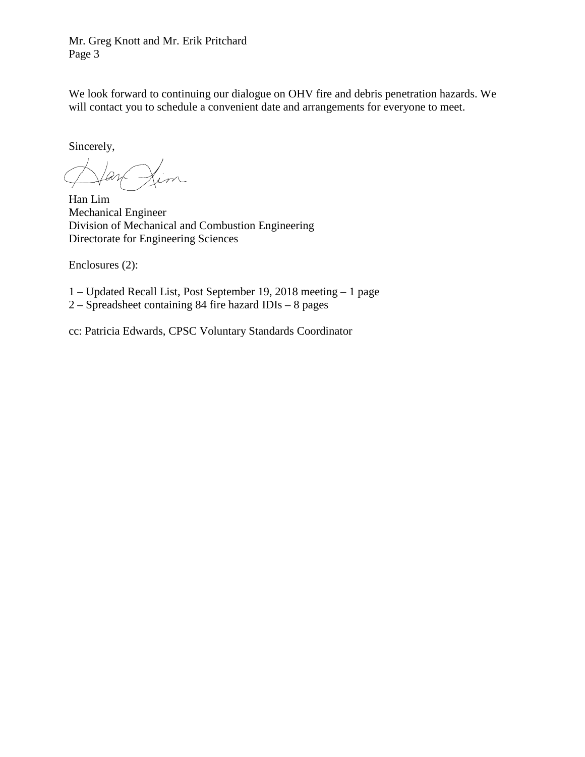Mr. Greg Knott and Mr. Erik Pritchard Page 3

We look forward to continuing our dialogue on OHV fire and debris penetration hazards. We will contact you to schedule a convenient date and arrangements for everyone to meet.

Sincerely,

Han Lim Mechanical Engineer Division of Mechanical and Combustion Engineering Directorate for Engineering Sciences

Enclosures (2):

1 – Updated Recall List, Post September 19, 2018 meeting – 1 page

2 – Spreadsheet containing 84 fire hazard IDIs – 8 pages

cc: Patricia Edwards, CPSC Voluntary Standards Coordinator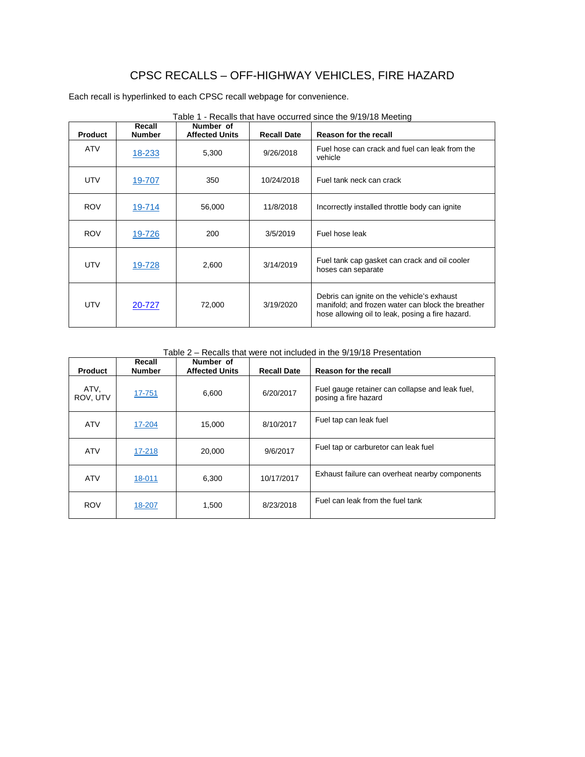## CPSC RECALLS – OFF-HIGHWAY VEHICLES, FIRE HAZARD

Each recall is hyperlinked to each CPSC recall webpage for convenience.

| <b>Product</b> | Recall<br><b>Number</b>                                 | Number of<br><b>Affected Units</b> | <b>Recall Date</b>                                                  | Reason for the recall                                                                                                                               |
|----------------|---------------------------------------------------------|------------------------------------|---------------------------------------------------------------------|-----------------------------------------------------------------------------------------------------------------------------------------------------|
| <b>ATV</b>     | 18-233                                                  | 5,300                              | 9/26/2018                                                           | Fuel hose can crack and fuel can leak from the<br>vehicle                                                                                           |
| UTV            | Fuel tank neck can crack<br>350<br>10/24/2018<br>19-707 |                                    |                                                                     |                                                                                                                                                     |
| <b>ROV</b>     | 19-714                                                  | 56,000                             | 11/8/2018                                                           | Incorrectly installed throttle body can ignite                                                                                                      |
| <b>ROV</b>     | 19-726                                                  | 200                                | 3/5/2019                                                            | Fuel hose leak                                                                                                                                      |
| UTV            | 3/14/2019<br>19-728<br>2,600                            |                                    | Fuel tank cap gasket can crack and oil cooler<br>hoses can separate |                                                                                                                                                     |
| UTV            | 20-727                                                  | 72,000                             | 3/19/2020                                                           | Debris can ignite on the vehicle's exhaust<br>manifold; and frozen water can block the breather<br>hose allowing oil to leak, posing a fire hazard. |

Table 1 - Recalls that have occurred since the 9/19/18 Meeting

Table 2 – Recalls that were not included in the 9/19/18 Presentation

| <b>Product</b>   | Recall<br><b>Number</b> | Number of<br><b>Affected Units</b> | <b>Recall Date</b> | Reason for the recall                                                   |
|------------------|-------------------------|------------------------------------|--------------------|-------------------------------------------------------------------------|
| ATV.<br>ROV, UTV | 17-751                  | 6,600                              | 6/20/2017          | Fuel gauge retainer can collapse and leak fuel,<br>posing a fire hazard |
| <b>ATV</b>       | 17-204                  | 15.000                             | 8/10/2017          | Fuel tap can leak fuel                                                  |
| <b>ATV</b>       | 17-218                  | 20,000                             | 9/6/2017           | Fuel tap or carburetor can leak fuel                                    |
| <b>ATV</b>       | 18-011                  | 6,300                              | 10/17/2017         | Exhaust failure can overheat nearby components                          |
| <b>ROV</b>       | 18-207                  | 1,500                              | 8/23/2018          | Fuel can leak from the fuel tank                                        |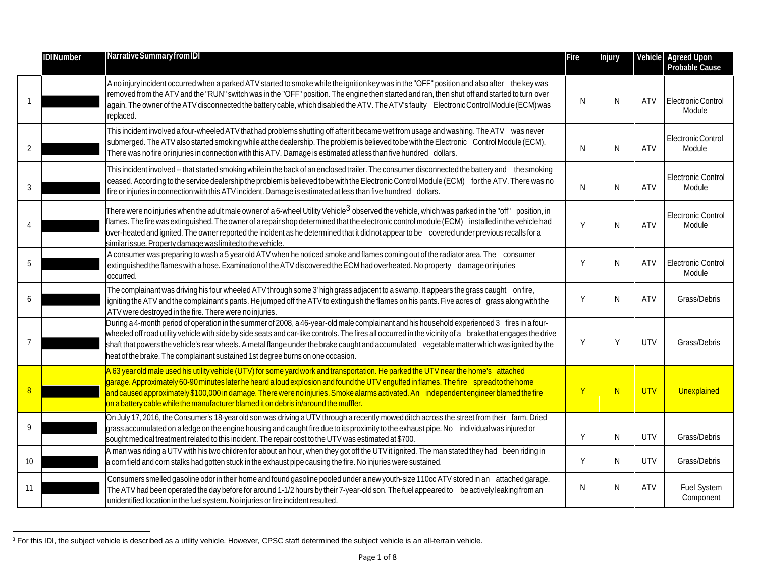|    | <b>IDINumber</b> | Narrative Summary from IDI                                                                                                                                                                                                                                                                                                                                                                                                                                                                                                                | Fire | Injury | Vehicle    | <b>Agreed Upon</b><br><b>Probable Cause</b> |
|----|------------------|-------------------------------------------------------------------------------------------------------------------------------------------------------------------------------------------------------------------------------------------------------------------------------------------------------------------------------------------------------------------------------------------------------------------------------------------------------------------------------------------------------------------------------------------|------|--------|------------|---------------------------------------------|
|    |                  | A no injury incident occurred when a parked ATV started to smoke while the ignition key was in the "OFF" position and also after the key was<br>removed from the ATV and the "RUN" switch was in the "OFF" position. The engine then started and ran, then shut off and started to turn over<br>again. The owner of the ATV disconnected the battery cable, which disabled the ATV. The ATV's faulty Electronic Control Module (ECM) was<br>replaced.                                                                                     | N    | N      | <b>ATV</b> | Electronic Control<br>Module                |
| 2  |                  | This incident involved a four-wheeled ATV that had problems shutting off after it became wet from usage and washing. The ATV was never<br>submerged. The ATV also started smoking while at the dealership. The problem is believed to be with the Electronic Control Module (ECM).<br>There was no fire or injuries in connection with this ATV. Damage is estimated at less than five hundred dollars.                                                                                                                                   | N    | N      | <b>ATV</b> | Electronic Control<br>Module                |
|    |                  | This incident involved -- that started smoking while in the back of an enclosed trailer. The consumer disconnected the battery and the smoking<br>ceased. According to the service dealership the problem is believed to be with the Electronic Control Module (ECM) for the ATV. There was no<br>fire or injuries in connection with this ATV incident. Damage is estimated at less than five hundred dollars.                                                                                                                           | N    | N      | ATV        | <b>Electronic Control</b><br>Module         |
|    |                  | There were no injuries when the adult male owner of a 6-wheel Utility Vehicle <sup>3</sup> observed the vehicle, which was parked in the "off" position, in<br>flames. The fire was extinguished. The owner of a repair shop determined that the electronic control module (ECM) installed in the vehicle had<br>over-heated and ignited. The owner reported the incident as he determined that it did not appear to be covered under previous recalls for a<br>similar issue. Property damage was limited to the vehicle.                | Y    | N      | <b>ATV</b> | Electronic Control<br>Module                |
| 5  |                  | A consumer was preparing to wash a 5 year old ATV when he noticed smoke and flames coming out of the radiator area. The consumer<br>extinguished the flames with a hose. Examination of the ATV discovered the ECM had overheated. No property damage or injuries<br>occurred.                                                                                                                                                                                                                                                            | Υ    | N      | ATV        | <b>Electronic Control</b><br>Module         |
|    |                  | The complainant was driving his four wheeled ATV through some 3' high grass adjacent to a swamp. It appears the grass caught on fire,<br>igniting the ATV and the complainant's pants. He jumped off the ATV to extinguish the flames on his pants. Five acres of grass along with the<br>ATV were destroyed in the fire. There were no injuries.                                                                                                                                                                                         | Υ    | N      | ATV        | Grass/Debris                                |
|    |                  | During a 4-month period of operation in the summer of 2008, a 46-year-old male complainant and his household experienced 3 fires in a four-<br>wheeled off road utility vehicle with side by side seats and car-like controls. The fires all occurred in the vicinity of a brake that engages the drive<br>shaft that powers the vehicle's rear wheels. A metal flange under the brake caught and accumulated vegetable matter which was ignited by the<br>heat of the brake. The complainant sustained 1st degree burns on one occasion. | Υ    | Y      | UTV        | Grass/Debris                                |
|    |                  | A 63 year old male used his utility vehicle (UTV) for some yard work and transportation. He parked the UTV near the home's attached<br>garage. Approximately 60-90 minutes later he heard a loud explosion and found the UTV engulfed in flames. The fire spread to the home<br>and caused approximately \$100,000 in damage. There were no injuries. Smoke alarms activated. An independent engineer blamed the fire<br>on a battery cable while the manufacturer blamed it on debris in/around the muffler.                             | Y    | N      | <b>UTV</b> | Unexplained                                 |
| 9  |                  | On July 17, 2016, the Consumer's 18-year old son was driving a UTV through a recently mowed ditch across the street from their farm. Dried<br>grass accumulated on a ledge on the engine housing and caught fire due to its proximity to the exhaust pipe. No individual was injured or<br>sought medical treatment related to this incident. The repair cost to the UTV was estimated at \$700.                                                                                                                                          | Y    | N      | UTV        | Grass/Debris                                |
| 10 |                  | A man was riding a UTV with his two children for about an hour, when they got off the UTV it ignited. The man stated they had been riding in<br>a corn field and corn stalks had gotten stuck in the exhaust pipe causing the fire. No injuries were sustained.                                                                                                                                                                                                                                                                           | Y    | N      | UTV        | Grass/Debris                                |
| 11 |                  | Consumers smelled gasoline odor in their home and found gasoline pooled under a new youth-size 110cc ATV stored in an attached garage.<br>The ATV had been operated the day before for around 1-1/2 hours by their 7-year-old son. The fuel appeared to be actively leaking from an<br>unidentified location in the fuel system. No injuries or fire incident resulted.                                                                                                                                                                   | N    | N      | ATV        | Fuel System<br>Component                    |

 $3$  For this IDI, the subject vehicle is described as a utility vehicle. However, CPSC staff determined the subject vehicle is an all-terrain vehicle.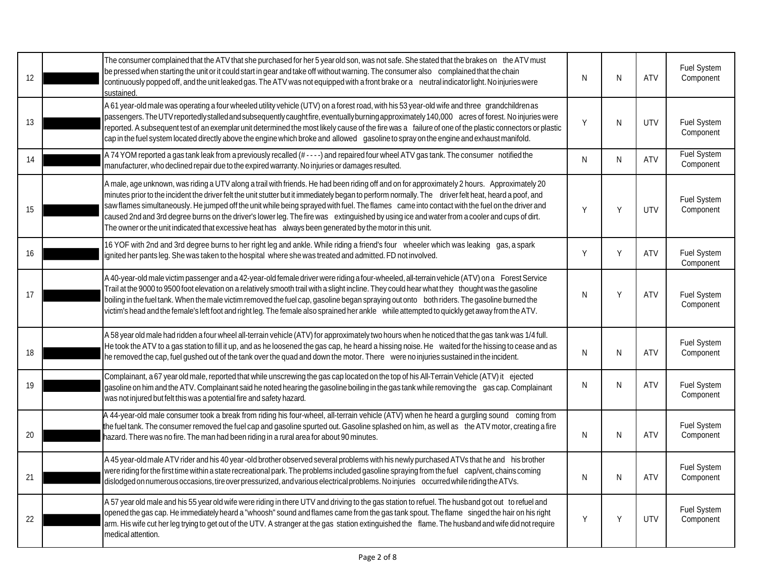| 12 | The consumer complained that the ATV that she purchased for her 5 year old son, was not safe. She stated that the brakes on the ATV must<br>be pressed when starting the unit or it could start in gear and take off without warning. The consumer also complained that the chain<br>continuously popped off, and the unit leaked gas. The ATV was not equipped with a front brake or a neutral indicator light. No injuries were<br>sustained.                                                                                                                                                                                                                                                                 | N | N  | <b>ATV</b> | Fuel System<br>Component        |
|----|-----------------------------------------------------------------------------------------------------------------------------------------------------------------------------------------------------------------------------------------------------------------------------------------------------------------------------------------------------------------------------------------------------------------------------------------------------------------------------------------------------------------------------------------------------------------------------------------------------------------------------------------------------------------------------------------------------------------|---|----|------------|---------------------------------|
| 13 | A 61 year-old male was operating a four wheeled utility vehicle (UTV) on a forest road, with his 53 year-old wife and three grandchildren as<br>passengers. The UTV reportedly stalled and subsequently caught fire, eventually burning approximately 140,000 acres of forest. No injuries were<br>reported. A subsequent test of an exemplar unit determined the most likely cause of the fire was a failure of one of the plastic connectors or plastic<br>cap in the fuel system located directly above the engine which broke and allowed gasoline to spray on the engine and exhaust manifold.                                                                                                             | Y | N  | <b>UTV</b> | Fuel System<br>Component        |
| 14 | A 74 YOM reported a gas tank leak from a previously recalled (#----) and repaired four wheel ATV gas tank. The consumer notified the<br>manufacturer, who declined repair due to the expired warranty. No injuries or damages resulted.                                                                                                                                                                                                                                                                                                                                                                                                                                                                         | N | N. | <b>ATV</b> | <b>Fuel System</b><br>Component |
| 15 | A male, age unknown, was riding a UTV along a trail with friends. He had been riding off and on for approximately 2 hours. Approximately 20<br>minutes prior to the incident the driver felt the unit stutter but it immediately began to perform normally. The driver felt heat, heard a poof, and<br>saw flames simultaneously. He jumped off the unit while being sprayed with fuel. The flames came into contact with the fuel on the driver and<br>caused 2nd and 3rd degree burns on the driver's lower leg. The fire was extinguished by using ice and water from a cooler and cups of dirt.<br>The owner or the unit indicated that excessive heat has always been generated by the motor in this unit. | Y | Y  | <b>UTV</b> | Fuel System<br>Component        |
| 16 | 16 YOF with 2nd and 3rd degree burns to her right leg and ankle. While riding a friend's four wheeler which was leaking gas, a spark<br>gnited her pants leg. She was taken to the hospital where she was treated and admitted. FD not involved.                                                                                                                                                                                                                                                                                                                                                                                                                                                                | Y | Y  | <b>ATV</b> | Fuel System<br>Component        |
| 17 | A 40-year-old male victim passenger and a 42-year-old female driver were riding a four-wheeled, all-terrain vehicle (ATV) on a Forest Service<br>Trail at the 9000 to 9500 foot elevation on a relatively smooth trail with a slight incline. They could hear what they thought was the gasoline<br>boiling in the fuel tank. When the male victim removed the fuel cap, gasoline began spraying out onto both riders. The gasoline burned the<br>victim's head and the female's left foot and right leg. The female also sprained her ankle while attempted to quickly get away from the ATV.                                                                                                                  | N | Y  | <b>ATV</b> | Fuel System<br>Component        |
| 18 | A 58 year old male had ridden a four wheel all-terrain vehicle (ATV) for approximately two hours when he noticed that the gas tank was 1/4 full.<br>He took the ATV to a gas station to fill it up, and as he loosened the gas cap, he heard a hissing noise. He waited for the hissing to cease and as<br>he removed the cap, fuel gushed out of the tank over the quad and down the motor. There were no injuries sustained in the incident.                                                                                                                                                                                                                                                                  | N | N  | <b>ATV</b> | Fuel System<br>Component        |
| 19 | Complainant, a 67 year old male, reported that while unscrewing the gas cap located on the top of his All-Terrain Vehicle (ATV) it ejected<br>gasoline on him and the ATV. Complainant said he noted hearing the gasoline boiling in the gas tank while removing the gas cap. Complainant<br>was not injured but felt this was a potential fire and safety hazard.                                                                                                                                                                                                                                                                                                                                              | N | N  | <b>ATV</b> | Fuel System<br>Component        |
| 20 | A 44-year-old male consumer took a break from riding his four-wheel, all-terrain vehicle (ATV) when he heard a gurgling sound coming from<br>the fuel tank. The consumer removed the fuel cap and gasoline spurted out. Gasoline splashed on him, as well as the ATV motor, creating a fire<br>hazard. There was no fire. The man had been riding in a rural area for about 90 minutes.                                                                                                                                                                                                                                                                                                                         | N | N  | <b>ATV</b> | Fuel System<br>Component        |
| 21 | A 45 year-old male ATV rider and his 40 year-old brother observed several problems with his newly purchased ATVs that he and his brother<br>were riding for the first time within a state recreational park. The problems included gasoline spraying from the fuel cap/vent, chains coming<br>dislodged on numerous occasions, tire over pressurized, and various electrical problems. No injuries occurred while riding the ATVs.                                                                                                                                                                                                                                                                              | N | N  | <b>ATV</b> | Fuel System<br>Component        |
| 22 | A 57 year old male and his 55 year old wife were riding in there UTV and driving to the gas station to refuel. The husband got out to refuel and<br>opened the gas cap. He immediately heard a "whoosh" sound and flames came from the gas tank spout. The flame singed the hair on his right<br>arm. His wife cut her leg trying to get out of the UTV. A stranger at the gas station extinguished the flame. The husband and wife did not require<br>medical attention.                                                                                                                                                                                                                                       | Y | Y  | <b>UTV</b> | Fuel System<br>Component        |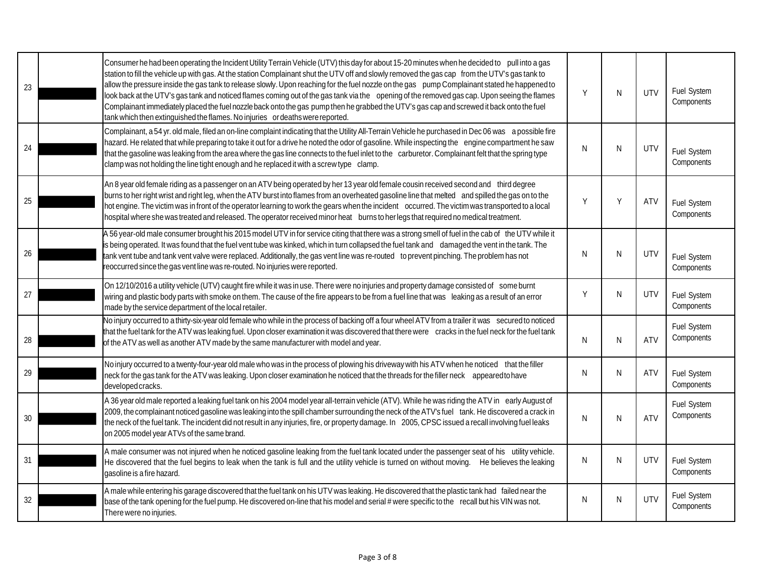| 23 | Consumer he had been operating the Incident Utility Terrain Vehicle (UTV) this day for about 15-20 minutes when he decided to pull into a gas<br>station to fill the vehicle up with gas. At the station Complainant shut the UTV off and slowly removed the gas cap from the UTV's gas tank to<br>allow the pressure inside the gas tank to release slowly. Upon reaching for the fuel nozzle on the gas pump Complainant stated he happened to<br>look back at the UTV's gas tank and noticed flames coming out of the gas tank via the opening of the removed gas cap. Upon seeing the flames<br>Complainant immediately placed the fuel nozzle back onto the gas pump then he grabbed the UTV's gas cap and screwed it back onto the fuel<br>tank which then extinguished the flames. No injuries or deaths were reported. | Υ  | N  | <b>UTV</b> | Fuel System<br>Components        |
|----|--------------------------------------------------------------------------------------------------------------------------------------------------------------------------------------------------------------------------------------------------------------------------------------------------------------------------------------------------------------------------------------------------------------------------------------------------------------------------------------------------------------------------------------------------------------------------------------------------------------------------------------------------------------------------------------------------------------------------------------------------------------------------------------------------------------------------------|----|----|------------|----------------------------------|
| 24 | Complainant, a 54 yr. old male, filed an on-line complaint indicating that the Utility All-Terrain Vehicle he purchased in Dec 06 was a possible fire<br>hazard. He related that while preparing to take it out for a drive he noted the odor of gasoline. While inspecting the engine compartment he saw<br>that the gasoline was leaking from the area where the gas line connects to the fuel inlet to the carburetor. Complainant felt that the spring type<br>clamp was not holding the line tight enough and he replaced it with a screw type clamp.                                                                                                                                                                                                                                                                     | N  | N  | UTV        | <b>Fuel System</b><br>Components |
| 25 | An 8 year old female riding as a passenger on an ATV being operated by her 13 year old female cousin received second and third degree<br>burns to her right wrist and right leg, when the ATV burst into flames from an overheated gasoline line that melted and spilled the gas on to the<br>hot engine. The victim was in front of the operator learning to work the gears when the incident occurred. The victim was transported to a local<br>hospital where she was treated and released. The operator received minor heat burns to her legs that required no medical treatment.                                                                                                                                                                                                                                          | Υ  | Y  | <b>ATV</b> | Fuel System<br>Components        |
| 26 | A 56 year-old male consumer brought his 2015 model UTV in for service citing that there was a strong smell of fuel in the cab of the UTV while it<br>is being operated. It was found that the fuel vent tube was kinked, which in turn collapsed the fuel tank and damaged the vent in the tank. The<br>tank vent tube and tank vent valve were replaced. Additionally, the gas vent line was re-routed to prevent pinching. The problem has not<br>reoccurred since the gas vent line was re-routed. No injuries were reported.                                                                                                                                                                                                                                                                                               | N  | N  | UTV        | Fuel System<br>Components        |
| 27 | On 12/10/2016 a utility vehicle (UTV) caught fire while it was in use. There were no injuries and property damage consisted of some burnt<br>wiring and plastic body parts with smoke on them. The cause of the fire appears to be from a fuel line that was leaking as a result of an error<br>made by the service department of the local retailer.                                                                                                                                                                                                                                                                                                                                                                                                                                                                          | Υ  | N. | <b>UTV</b> | Fuel System<br>Components        |
| 28 | No injury occurred to a thirty-six-year old female who while in the process of backing off a four wheel ATV from a trailer it was secured to noticed<br>that the fuel tank for the ATV was leaking fuel. Upon closer examination it was discovered that there were cracks in the fuel neck for the fuel tank<br>of the ATV as well as another ATV made by the same manufacturer with model and year.                                                                                                                                                                                                                                                                                                                                                                                                                           | N  | N  | <b>ATV</b> | Fuel System<br>Components        |
| 29 | No injury occurred to a twenty-four-year old male who was in the process of plowing his driveway with his ATV when he noticed that the filler<br>neck for the gas tank for the ATV was leaking. Upon closer examination he noticed that the threads for the filler neck appeared to have<br>developed cracks.                                                                                                                                                                                                                                                                                                                                                                                                                                                                                                                  | N  | N. | <b>ATV</b> | Fuel System<br>Components        |
| 30 | A 36 year old male reported a leaking fuel tank on his 2004 model year all-terrain vehicle (ATV). While he was riding the ATV in early August of<br>2009, the complainant noticed gasoline was leaking into the spill chamber surrounding the neck of the ATV's fuel tank. He discovered a crack in<br>the neck of the fuel tank. The incident did not result in any injuries, fire, or property damage. In 2005, CPSC issued a recall involving fuel leaks<br>on 2005 model year ATVs of the same brand.                                                                                                                                                                                                                                                                                                                      | N  | N  | <b>ATV</b> | Fuel System<br>Components        |
| 31 | A male consumer was not injured when he noticed gasoline leaking from the fuel tank located under the passenger seat of his utility vehicle.<br>He discovered that the fuel begins to leak when the tank is full and the utility vehicle is turned on without moving. He believes the leaking<br>gasoline is a fire hazard.                                                                                                                                                                                                                                                                                                                                                                                                                                                                                                    | N. | N. | <b>UTV</b> | Fuel System<br>Components        |
| 32 | A male while entering his garage discovered that the fuel tank on his UTV was leaking. He discovered that the plastic tank had failed near the<br>base of the tank opening for the fuel pump. He discovered on-line that his model and serial # were specific to the recall but his VIN was not.<br>There were no injuries.                                                                                                                                                                                                                                                                                                                                                                                                                                                                                                    | N  | N  | <b>UTV</b> | Fuel System<br>Components        |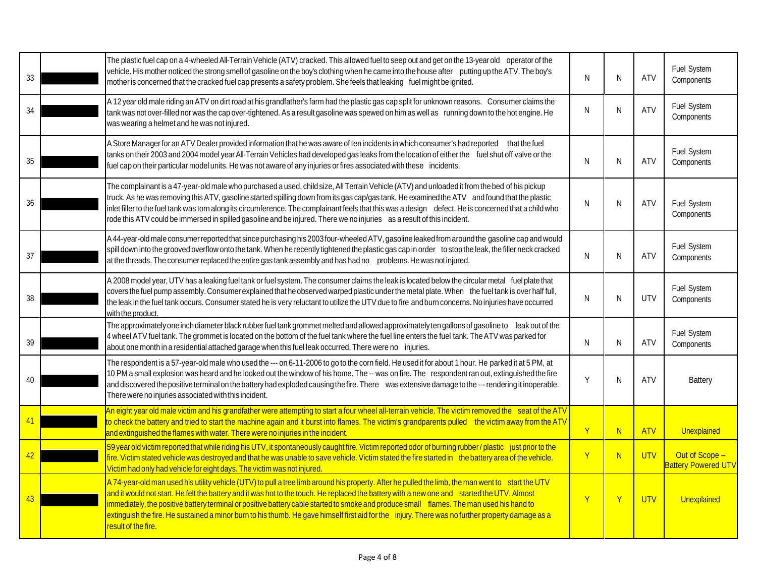| 33 | The plastic fuel cap on a 4-wheeled All-Terrain Vehicle (ATV) cracked. This allowed fuel to seep out and get on the 13-year old operator of the<br>vehicle. His mother noticed the strong smell of gasoline on the boy's clothing when he came into the house after putting up the ATV. The boy's<br>mother is concerned that the cracked fuel cap presents a safety problem. She feels that leaking fuel might be ignited.                                                                                                                                                                                             | N | N              | ATV        | Fuel System<br>Components                    |
|----|-------------------------------------------------------------------------------------------------------------------------------------------------------------------------------------------------------------------------------------------------------------------------------------------------------------------------------------------------------------------------------------------------------------------------------------------------------------------------------------------------------------------------------------------------------------------------------------------------------------------------|---|----------------|------------|----------------------------------------------|
| 34 | A 12 year old male riding an ATV on dirt road at his grandfather's farm had the plastic gas cap split for unknown reasons. Consumer claims the<br>tank was not over-filled nor was the cap over-tightened. As a result gasoline was spewed on him as well as running down to the hot engine. He<br>was wearing a helmet and he was not injured.                                                                                                                                                                                                                                                                         | N | N              | ATV        | Fuel System<br>Components                    |
| 35 | A Store Manager for an ATV Dealer provided information that he was aware of ten incidents in which consumer's had reported that the fuel<br>tanks on their 2003 and 2004 model year All-Terrain Vehicles had developed gas leaks from the location of either the fuel shut off valve or the<br>fuel cap on their particular model units. He was not aware of any injuries or fires associated with these incidents.                                                                                                                                                                                                     | N | N              | <b>ATV</b> | Fuel System<br>Components                    |
| 36 | The complainant is a 47-year-old male who purchased a used, child size, All Terrain Vehicle (ATV) and unloaded it from the bed of his pickup<br>truck. As he was removing this ATV, gasoline started spilling down from its gas cap/gas tank. He examined the ATV and found that the plastic<br>inlet filler to the fuel tank was torn along its circumference. The complainant feels that this was a design defect. He is concerned that a child who<br>rode this ATV could be immersed in spilled gasoline and be injured. There we no injuries as a result of this incident.                                         | N | N              | <b>ATV</b> | Fuel System<br>Components                    |
| 37 | A 44-year-old male consumer reported that since purchasing his 2003 four-wheeled ATV, gasoline leaked from around the gasoline cap and would<br>spill down into the grooved overflow onto the tank. When he recently tightened the plastic gas cap in order to stop the leak, the filler neck cracked<br>at the threads. The consumer replaced the entire gas tank assembly and has had no problems. He was not injured.                                                                                                                                                                                                | N | N              | ATV        | Fuel System<br>Components                    |
| 38 | A 2008 model year, UTV has a leaking fuel tank or fuel system. The consumer claims the leak is located below the circular metal fuel plate that<br>covers the fuel pump assembly. Consumer explained that he observed warped plastic under the metal plate. When the fuel tank is over half full,<br>the leak in the fuel tank occurs. Consumer stated he is very reluctant to utilize the UTV due to fire and burn concerns. No injuries have occurred<br>with the product.                                                                                                                                            | N | N              | UTV        | Fuel System<br>Components                    |
| 39 | The approximately one inch diameter black rubber fuel tank grommet melted and allowed approximately ten gallons of gasoline to leak out of the<br>4 wheel ATV fuel tank. The grommet is located on the bottom of the fuel tank where the fuel line enters the fuel tank. The ATV was parked for<br>about one month in a residential attached garage when this fuel leak occurred. There were no injuries.                                                                                                                                                                                                               | N | N              | <b>ATV</b> | Fuel System<br>Components                    |
| 40 | The respondent is a 57-year-old male who used the --- on 6-11-2006 to go to the corn field. He used it for about 1 hour. He parked it at 5 PM, at<br>10 PM a small explosion was heard and he looked out the window of his home. The -- was on fire. The respondent ran out, extinguished the fire<br>and discovered the positive terminal on the battery had exploded causing the fire. There was extensive damage to the --- rendering it inoperable.<br>There were no injuries associated with this incident.                                                                                                        | Υ | N              | <b>ATV</b> | <b>Battery</b>                               |
| 41 | An eight year old male victim and his grandfather were attempting to start a four wheel all-terrain vehicle. The victim removed the seat of the ATV<br>to check the battery and tried to start the machine again and it burst into flames. The victim's grandparents pulled the victim away from the ATV<br>and extinguished the flames with water. There were no injuries in the incident.                                                                                                                                                                                                                             | Y | N              | <b>ATV</b> | <b>Unexplained</b>                           |
| 42 | 59 year old victim reported that while riding his UTV, it spontaneously caught fire. Victim reported odor of burning rubber / plastic just prior to the<br>fire. Victim stated vehicle was destroyed and that he was unable to save vehicle. Victim stated the fire started in the battery area of the vehicle.<br>Victim had only had vehicle for eight days. The victim was not injured                                                                                                                                                                                                                               | Y | N              | <b>UTV</b> | Out of Scope -<br><b>Battery Powered UTV</b> |
| 43 | A 74-year-old man used his utility vehicle (UTV) to pull a tree limb around his property. After he pulled the limb, the man went to start the UTV<br>and it would not start. He felt the battery and it was hot to the touch. He replaced the battery with a new one and started the UTV. Almost<br>immediately, the positive battery terminal or positive battery cable started to smoke and produce small flames. The man used his hand to<br>extinguish the fire. He sustained a minor burn to his thumb. He gave himself first aid for the injury. There was no further property damage as a<br>result of the fire. | Ÿ | $\overline{Y}$ | <b>UTV</b> | Unexplained                                  |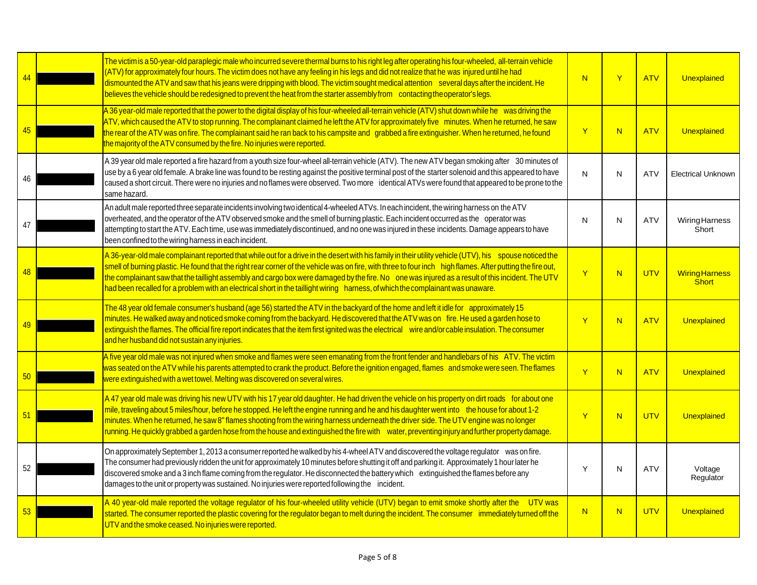|    | The victim is a 50-year-old paraplegic male who incurred severe thermal burns to his right leg after operating his four-wheeled, all-terrain vehicle<br>(ATV) for approximately four hours. The victim does not have any feeling in his legs and did not realize that he was injured until he had<br>dismounted the ATV and saw that his jeans were dripping with blood. The victim sought medical attention several days after the incident. He<br>believes the vehicle should be redesigned to prevent the heat from the starter assembly from contacting the operator's legs.                             | $\overline{N}$ | Y  | <b>ATV</b> | Unexplained                           |
|----|--------------------------------------------------------------------------------------------------------------------------------------------------------------------------------------------------------------------------------------------------------------------------------------------------------------------------------------------------------------------------------------------------------------------------------------------------------------------------------------------------------------------------------------------------------------------------------------------------------------|----------------|----|------------|---------------------------------------|
| 45 | A 36 year-old male reported that the power to the digital display of his four-wheeled all-terrain vehicle (ATV) shut down while he was driving the<br>ATV, which caused the ATV to stop running. The complainant claimed he left the ATV for approximately five minutes. When he returned, he saw<br>the rear of the ATV was on fire. The complainant said he ran back to his campsite and grabbed a fire extinguisher. When he returned, he found<br>the majority of the ATV consumed by the fire. No injuries were reported.                                                                               | Y              | N. | <b>ATV</b> | Unexplained                           |
| 46 | A 39 year old male reported a fire hazard from a youth size four-wheel all-terrain vehicle (ATV). The new ATV began smoking after 30 minutes of<br>use by a 6 year old female. A brake line was found to be resting against the positive terminal post of the starter solenoid and this appeared to have<br>caused a short circuit. There were no injuries and no flames were observed. Two more identical ATVs were found that appeared to be prone to the<br>same hazard.                                                                                                                                  | N              | N  | <b>ATV</b> | <b>Electrical Unknown</b>             |
| 47 | An adult male reported three separate incidents involving two identical 4-wheeled ATVs. In each incident, the wiring harness on the ATV<br>overheated, and the operator of the ATV observed smoke and the smell of burning plastic. Each incident occurred as the operator was<br>attempting to start the ATV. Each time, use was immediately discontinued, and no one was injured in these incidents. Damage appears to have<br>been confined to the wiring harness in each incident.                                                                                                                       | N              | N  | <b>ATV</b> | WiringHarness<br>Short                |
| 48 | A 36-year-old male complainant reported that while out for a drive in the desert with his family in their utility vehicle (UTV), his spouse noticed the<br>smell of burning plastic. He found that the right rear corner of the vehicle was on fire, with three to four inch high flames. After putting the fire out,<br>the complainant saw that the taillight assembly and cargo box were damaged by the fire. No one was injured as a result of this incident. The UTV<br>had been recalled for a problem with an electrical short in the taillight wiring harness, of which the complainant was unaware. | $\overline{Y}$ | N  | UTV        | <b>Wiring Harness</b><br><b>Short</b> |
|    | The 48 year old female consumer's husband (age 56) started the ATV in the backyard of the home and left it idle for approximately 15<br>minutes. He walked away and noticed smoke coming from the backyard. He discovered that the ATV was on fire. He used a garden hose to<br>extinguish the flames. The official fire report indicates that the item first ignited was the electrical wire and/or cable insulation. The consumer<br>and her husband did not sustain any injuries.                                                                                                                         | $\overline{Y}$ | N  | <b>ATV</b> | Unexplained                           |
| 50 | A five year old male was not injured when smoke and flames were seen emanating from the front fender and handlebars of his ATV. The victim<br>was seated on the ATV while his parents attempted to crank the product. Before the ignition engaged, flames and smoke were seen. The flames<br>were extinguished with a wet towel. Melting was discovered on several wires.                                                                                                                                                                                                                                    | $\overline{Y}$ | N  | <b>ATV</b> | Unexplained                           |
| 51 | A 47 year old male was driving his new UTV with his 17 year old daughter. He had driven the vehicle on his property on dirt roads for about one<br>mile, traveling about 5 miles/hour, before he stopped. He left the engine running and he and his daughter went into the house for about 1-2<br>minutes. When he returned, he saw 8" flames shooting from the wiring harness underneath the driver side. The UTV engine was no longer<br>running. He quickly grabbed a garden hose from the house and extinguished the fire with water, preventing injury and further property damage.                     | Y              | N  | <b>UTV</b> | Unexplained                           |
| 52 | On approximately September 1, 2013 a consumer reported he walked by his 4-wheel ATV and discovered the voltage regulator was on fire.<br>The consumer had previously ridden the unit for approximately 10 minutes before shutting it off and parking it. Approximately 1 hour later he<br>discovered smoke and a 3 inch flame coming from the regulator. He disconnected the battery which extinguished the flames before any<br>damages to the unit or property was sustained. No injuries were reported following the incident.                                                                            | Y              | N  | <b>ATV</b> | Voltage<br>Regulator                  |
| 53 | A 40 year-old male reported the voltage regulator of his four-wheeled utility vehicle (UTV) began to emit smoke shortly after the UTV was<br>started. The consumer reported the plastic covering for the regulator began to melt during the incident. The consumer immediately turned off the<br>UTV and the smoke ceased. No injuries were reported.                                                                                                                                                                                                                                                        | N              | N  | <b>UTV</b> | Unexplained                           |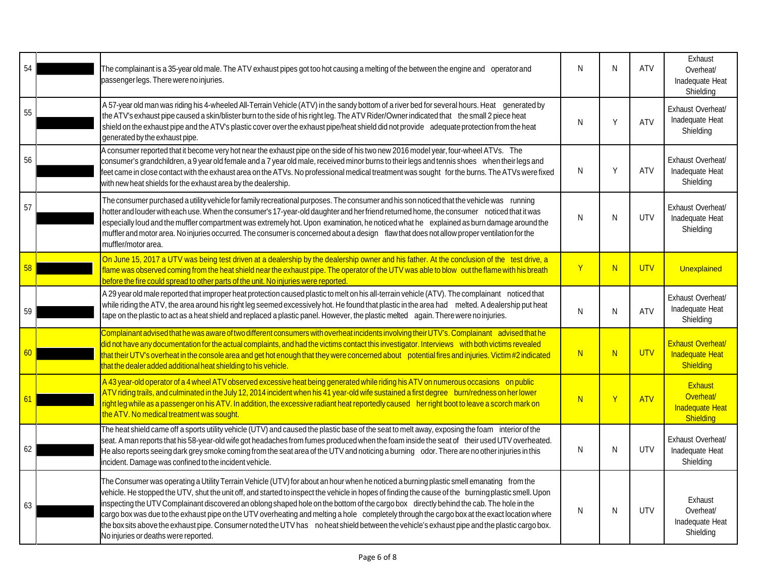| 54 | The complainant is a 35-year old male. The ATV exhaust pipes got too hot causing a melting of the between the engine and operator and<br>passenger legs. There were no injuries.                                                                                                                                                                                                                                                                                                                                                                                                                                                                                                                                                                                                  | N            | N            | <b>ATV</b> | Exhaust<br>Overheat/<br>Inadequate Heat<br>Shielding     |
|----|-----------------------------------------------------------------------------------------------------------------------------------------------------------------------------------------------------------------------------------------------------------------------------------------------------------------------------------------------------------------------------------------------------------------------------------------------------------------------------------------------------------------------------------------------------------------------------------------------------------------------------------------------------------------------------------------------------------------------------------------------------------------------------------|--------------|--------------|------------|----------------------------------------------------------|
| 55 | A 57-year old man was riding his 4-wheeled All-Terrain Vehicle (ATV) in the sandy bottom of a river bed for several hours. Heat generated by<br>the ATV's exhaust pipe caused a skin/blister burn to the side of his right leg. The ATV Rider/Owner indicated that the small 2 piece heat<br>shield on the exhaust pipe and the ATV's plastic cover over the exhaust pipe/heat shield did not provide adequate protection from the heat<br>generated by the exhaust pipe.                                                                                                                                                                                                                                                                                                         | N            | Y            | <b>ATV</b> | Exhaust Overheat/<br>Inadequate Heat<br>Shielding        |
| 56 | A consumer reported that it become very hot near the exhaust pipe on the side of his two new 2016 model year, four-wheel ATVs. The<br>consumer's grandchildren, a 9 year old female and a 7 year old male, received minor burns to their legs and tennis shoes when their legs and<br>eet came in close contact with the exhaust area on the ATVs. No professional medical treatment was sought for the burns. The ATVs were fixed<br>with new heat shields for the exhaust area by the dealership.                                                                                                                                                                                                                                                                               | N            | Y            | ATV        | Exhaust Overheat/<br>Inadequate Heat<br>Shielding        |
| 57 | The consumer purchased a utility vehicle for family recreational purposes. The consumer and his son noticed that the vehicle was running<br>hotter and louder with each use. When the consumer's 17-year-old daughter and her friend returned home, the consumer noticed that it was<br>especially loud and the muffler compartment was extremely hot. Upon examination, he noticed what he explained as burn damage around the<br>muffler and motor area. No injuries occurred. The consumer is concerned about a design flaw that does not allow proper ventilation for the<br>muffler/motor area.                                                                                                                                                                              | N            | N            | <b>UTV</b> | Exhaust Overheat/<br>Inadequate Heat<br>Shielding        |
|    | On June 15, 2017 a UTV was being test driven at a dealership by the dealership owner and his father. At the conclusion of the test drive, a<br>flame was observed coming from the heat shield near the exhaust pipe. The operator of the UTV was able to blow out the flame with his breath<br>before the fire could spread to other parts of the unit. No injuries were reported.                                                                                                                                                                                                                                                                                                                                                                                                | Y            | N            | <b>UTV</b> | Unexplained                                              |
| 59 | A 29 year old male reported that improper heat protection caused plastic to melt on his all-terrain vehicle (ATV). The complainant noticed that<br>while riding the ATV, the area around his right leg seemed excessively hot. He found that plastic in the area had melted. A dealership put heat<br>tape on the plastic to act as a heat shield and replaced a plastic panel. However, the plastic melted again. There were no injuries.                                                                                                                                                                                                                                                                                                                                        | N            | N            | <b>ATV</b> | Exhaust Overheat/<br>Inadequate Heat<br>Shielding        |
| 60 | Complainant advised that he was aware of two different consumers with overheat incidents involving their UTV's. Complainant advised that he<br>did not have any documentation for the actual complaints, and had the victims contact this investigator. Interviews with both victims revealed<br>hat their UTV's overheat in the console area and get hot enough that they were concerned about potential fires and injuries. Victim #2 indicated<br>that the dealer added additional heat shielding to his vehicle.                                                                                                                                                                                                                                                              | N            | N            | <b>UTV</b> | <b>Exhaust Overheat/</b><br>Inadequate Heat<br>Shielding |
| 61 | A 43 year-old operator of a 4 wheel ATV observed excessive heat being generated while riding his ATV on numerous occasions on public<br>ATV riding trails, and culminated in the July 12, 2014 incident when his 41 year-old wife sustained a first degree burn/redness on her lower<br>right leg while as a passenger on his ATV. In addition, the excessive radiant heat reportedly caused her right boot to leave a scorch mark on<br>the ATV. No medical treatment was sought.                                                                                                                                                                                                                                                                                                | <sup>N</sup> | $\mathsf{Y}$ | <b>ATV</b> | Exhaust<br>Overheat/<br>Inadequate Heat<br>Shielding     |
| 62 | The heat shield came off a sports utility vehicle (UTV) and caused the plastic base of the seat to melt away, exposing the foam interior of the<br>seat. A man reports that his 58-year-old wife got headaches from fumes produced when the foam inside the seat of their used UTV overheated.<br>He also reports seeing dark grey smoke coming from the seat area of the UTV and noticing a burning odor. There are no other injuries in this<br>incident. Damage was confined to the incident vehicle.                                                                                                                                                                                                                                                                          | N            | N            | <b>UTV</b> | Exhaust Overheat/<br>Inadequate Heat<br>Shielding        |
| 63 | The Consumer was operating a Utility Terrain Vehicle (UTV) for about an hour when he noticed a burning plastic smell emanating from the<br>vehicle. He stopped the UTV, shut the unit off, and started to inspect the vehicle in hopes of finding the cause of the burning plastic smell. Upon<br>inspecting the UTV Complainant discovered an oblong shaped hole on the bottom of the cargo box directly behind the cab. The hole in the<br>cargo box was due to the exhaust pipe on the UTV overheating and melting a hole completely through the cargo box at the exact location where<br>the box sits above the exhaust pipe. Consumer noted the UTV has no heat shield between the vehicle's exhaust pipe and the plastic cargo box.<br>No injuries or deaths were reported. | N            | N            | <b>UTV</b> | Exhaust<br>Overheat/<br>Inadequate Heat<br>Shielding     |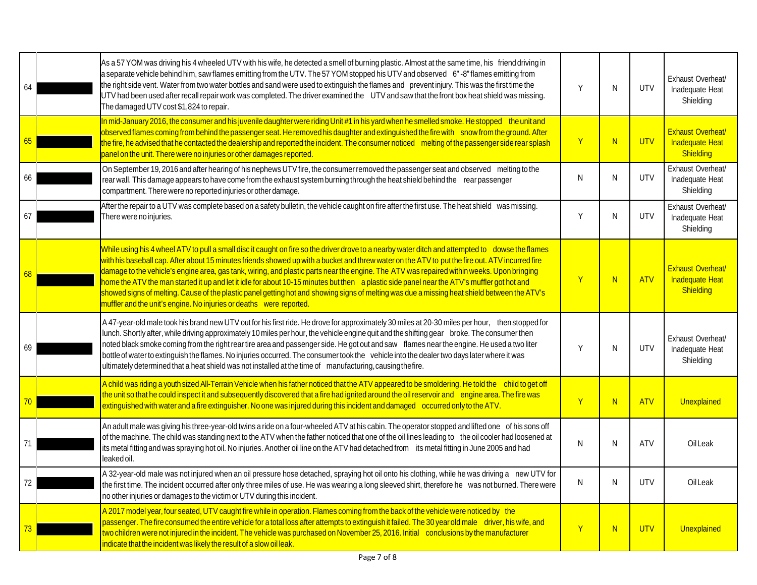| 64 | As a 57 YOM was driving his 4 wheeled UTV with his wife, he detected a smell of burning plastic. Almost at the same time, his friend driving in<br>a separate vehicle behind him, saw flames emitting from the UTV. The 57 YOM stopped his UTV and observed 6"-8" flames emitting from<br>the right side vent. Water from two water bottles and sand were used to extinguish the flames and prevent injury. This was the first time the<br>UTV had been used after recall repair work was completed. The driver examined the UTV and saw that the front box heat shield was missing.<br>The damaged UTV cost \$1,824 to repair.                                                                                                                                                                                          | Υ              | N | <b>UTV</b> | Exhaust Overheat/<br>Inadequate Heat<br>Shielding        |
|----|--------------------------------------------------------------------------------------------------------------------------------------------------------------------------------------------------------------------------------------------------------------------------------------------------------------------------------------------------------------------------------------------------------------------------------------------------------------------------------------------------------------------------------------------------------------------------------------------------------------------------------------------------------------------------------------------------------------------------------------------------------------------------------------------------------------------------|----------------|---|------------|----------------------------------------------------------|
| 65 | In mid-January 2016, the consumer and his juvenile daughter were riding Unit #1 in his yard when he smelled smoke. He stopped the unit and<br>bbserved flames coming from behind the passenger seat. He removed his daughter and extinguished the fire with snow from the ground. After<br>the fire, he advised that he contacted the dealership and reported the incident. The consumer noticed melting of the passenger side rear splash<br>panel on the unit. There were no injuries or other damages reported.                                                                                                                                                                                                                                                                                                       | $\overline{Y}$ | N | <b>UTV</b> | <b>Exhaust Overheat/</b><br>Inadequate Heat<br>Shielding |
| 66 | On September 19, 2016 and after hearing of his nephews UTV fire, the consumer removed the passenger seat and observed melting to the<br>rear wall. This damage appears to have come from the exhaust system burning through the heat shield behind the rear passenger<br>compartment. There were no reported injuries or other damage.                                                                                                                                                                                                                                                                                                                                                                                                                                                                                   | N              | N | <b>UTV</b> | Exhaust Overheat/<br>Inadequate Heat<br>Shielding        |
| 67 | After the repair to a UTV was complete based on a safety bulletin, the vehicle caught on fire after the first use. The heat shield was missing.<br>There were no injuries.                                                                                                                                                                                                                                                                                                                                                                                                                                                                                                                                                                                                                                               | Y              | N | <b>UTV</b> | Exhaust Overheat/<br>Inadequate Heat<br>Shielding        |
| 68 | While using his 4 wheel ATV to pull a small disc it caught on fire so the driver drove to a nearby water ditch and attempted to dowse the flames<br>with his baseball cap. After about 15 minutes friends showed up with a bucket and threw water on the ATV to put the fire out. ATV incurred fire<br>damage to the vehicle's engine area, gas tank, wiring, and plastic parts near the engine. The ATV was repaired within weeks. Upon bringing<br>home the ATV the man started it up and let it idle for about 10-15 minutes but then a plastic side panel near the ATV's muffler got hot and<br>showed signs of melting. Cause of the plastic panel getting hot and showing signs of melting was due a missing heat shield between the ATV's.<br>muffler and the unit's engine. No injuries or deaths were reported. | Ÿ              | N | <b>ATV</b> | <b>Exhaust Overheat/</b><br>Inadequate Heat<br>Shielding |
| 69 | A 47-year-old male took his brand new UTV out for his first ride. He drove for approximately 30 miles at 20-30 miles per hour, then stopped for<br>lunch. Shortly after, while driving approximately 10 miles per hour, the vehicle engine quit and the shifting gear broke. The consumer then<br>noted black smoke coming from the right rear tire area and passenger side. He got out and saw flames near the engine. He used a two liter<br>bottle of water to extinguish the flames. No injuries occurred. The consumer took the vehicle into the dealer two days later where it was<br>ultimately determined that a heat shield was not installed at the time of manufacturing, causing the fire.                                                                                                                   | Υ              | N | <b>UTV</b> | Exhaust Overheat/<br>Inadequate Heat<br>Shielding        |
|    | A child was riding a youth sized All-Terrain Vehicle when his father noticed that the ATV appeared to be smoldering. He told the child to get off<br>the unit so that he could inspect it and subsequently discovered that a fire had ignited around the oil reservoir and engine area. The fire was<br>extinguished with water and a fire extinguisher. No one was injured during this incident and damaged occurred only to the ATV.                                                                                                                                                                                                                                                                                                                                                                                   | Y              | N | <b>ATV</b> | Unexplained                                              |
| 71 | An adult male was giving his three-year-old twins a ride on a four-wheeled ATV at his cabin. The operator stopped and lifted one of his sons off<br>of the machine. The child was standing next to the ATV when the father noticed that one of the oil lines leading to the oil cooler had loosened at<br>its metal fitting and was spraying hot oil. No injuries. Another oil line on the ATV had detached from its metal fitting in June 2005 and had<br>leaked oil.                                                                                                                                                                                                                                                                                                                                                   | N              | N | ATV        | OilLeak                                                  |
| 72 | A 32-year-old male was not injured when an oil pressure hose detached, spraying hot oil onto his clothing, while he was driving a new UTV for<br>the first time. The incident occurred after only three miles of use. He was wearing a long sleeved shirt, therefore he was not burned. There were<br>no other injuries or damages to the victim or UTV during this incident.                                                                                                                                                                                                                                                                                                                                                                                                                                            | N              | N | <b>UTV</b> | OilLeak                                                  |
|    | A 2017 model year, four seated, UTV caught fire while in operation. Flames coming from the back of the vehicle were noticed by the<br>passenger. The fire consumed the entire vehicle for a total loss after attempts to extinguish it failed. The 30 year old male driver, his wife, and<br>two children were not injured in the incident. The vehicle was purchased on November 25, 2016. Initial conclusions by the manufacturer<br>indicate that the incident was likely the result of a slow oil leak.                                                                                                                                                                                                                                                                                                              | Y              | N | <b>UTV</b> | Unexplained                                              |